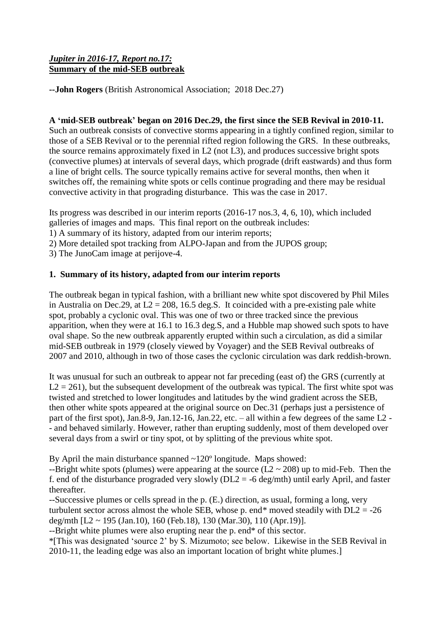# *Jupiter in 2016-17, Report no.17:* **Summary of the mid-SEB outbreak**

**--John Rogers** (British Astronomical Association; 2018 Dec.27)

# **A 'mid-SEB outbreak' began on 2016 Dec.29, the first since the SEB Revival in 2010-11.**

Such an outbreak consists of convective storms appearing in a tightly confined region, similar to those of a SEB Revival or to the perennial rifted region following the GRS. In these outbreaks, the source remains approximately fixed in L2 (not L3), and produces successive bright spots (convective plumes) at intervals of several days, which prograde (drift eastwards) and thus form a line of bright cells. The source typically remains active for several months, then when it switches off, the remaining white spots or cells continue prograding and there may be residual convective activity in that prograding disturbance. This was the case in 2017.

Its progress was described in our interim reports (2016-17 nos.3, 4, 6, 10), which included galleries of images and maps. This final report on the outbreak includes:

1) A summary of its history, adapted from our interim reports;

2) More detailed spot tracking from ALPO-Japan and from the JUPOS group;

3) The JunoCam image at perijove-4.

# **1. Summary of its history, adapted from our interim reports**

The outbreak began in typical fashion, with a brilliant new white spot discovered by Phil Miles in Australia on Dec.29, at  $L2 = 208$ , 16.5 deg.S. It coincided with a pre-existing pale white spot, probably a cyclonic oval. This was one of two or three tracked since the previous apparition, when they were at 16.1 to 16.3 deg.S, and a Hubble map showed such spots to have oval shape. So the new outbreak apparently erupted within such a circulation, as did a similar mid-SEB outbreak in 1979 (closely viewed by Voyager) and the SEB Revival outbreaks of 2007 and 2010, although in two of those cases the cyclonic circulation was dark reddish-brown.

It was unusual for such an outbreak to appear not far preceding (east of) the GRS (currently at  $L2 = 261$ ), but the subsequent development of the outbreak was typical. The first white spot was twisted and stretched to lower longitudes and latitudes by the wind gradient across the SEB, then other white spots appeared at the original source on Dec.31 (perhaps just a persistence of part of the first spot), Jan.8-9, Jan.12-16, Jan.22, etc. – all within a few degrees of the same L2 - - and behaved similarly. However, rather than erupting suddenly, most of them developed over several days from a swirl or tiny spot, ot by splitting of the previous white spot.

By April the main disturbance spanned ~120º longitude. Maps showed:

--Bright white spots (plumes) were appearing at the source  $(L2 \sim 208)$  up to mid-Feb. Then the f. end of the disturbance prograded very slowly ( $DL2 = -6$  deg/mth) until early April, and faster thereafter.

--Successive plumes or cells spread in the p. (E.) direction, as usual, forming a long, very turbulent sector across almost the whole SEB, whose p. end\* moved steadily with  $DL2 = -26$ deg/mth [L2 ~ 195 (Jan.10), 160 (Feb.18), 130 (Mar.30), 110 (Apr.19)].

--Bright white plumes were also erupting near the p. end\* of this sector.

\*[This was designated 'source 2' by S. Mizumoto; see below. Likewise in the SEB Revival in 2010-11, the leading edge was also an important location of bright white plumes.]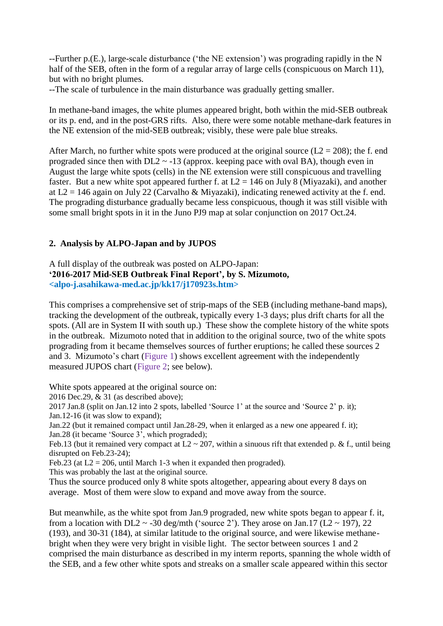--Further p.(E.), large-scale disturbance ('the NE extension') was prograding rapidly in the N half of the SEB, often in the form of a regular array of large cells (conspicuous on March 11), but with no bright plumes.

--The scale of turbulence in the main disturbance was gradually getting smaller.

In methane-band images, the white plumes appeared bright, both within the mid-SEB outbreak or its p. end, and in the post-GRS rifts. Also, there were some notable methane-dark features in the NE extension of the mid-SEB outbreak; visibly, these were pale blue streaks.

After March, no further white spots were produced at the original source ( $L2 = 208$ ); the f. end prograded since then with  $DL2 \sim -13$  (approx. keeping pace with oval BA), though even in August the large white spots (cells) in the NE extension were still conspicuous and travelling faster. But a new white spot appeared further f. at  $L2 = 146$  on July 8 (Miyazaki), and another at  $L2 = 146$  again on July 22 (Carvalho & Miyazaki), indicating renewed activity at the f. end. The prograding disturbance gradually became less conspicuous, though it was still visible with some small bright spots in it in the Juno PJ9 map at solar conjunction on 2017 Oct.24.

### **2. Analysis by ALPO-Japan and by JUPOS**

# A full display of the outbreak was posted on ALPO-Japan: **'2016-2017 Mid-SEB Outbreak Final Report', by S. Mizumoto, <alpo-j.asahikawa-med.ac.jp/kk17/j170923s.htm>**

This comprises a comprehensive set of strip-maps of the SEB (including methane-band maps), tracking the development of the outbreak, typically every 1-3 days; plus drift charts for all the spots. (All are in System II with south up.) These show the complete history of the white spots in the outbreak. Mizumoto noted that in addition to the original source, two of the white spots prograding from it became themselves sources of further eruptions; he called these sources 2 and 3. Mizumoto's chart (Figure 1) shows excellent agreement with the independently measured JUPOS chart (Figure 2; see below).

White spots appeared at the original source on:

2016 Dec.29, & 31 (as described above);

2017 Jan.8 (split on Jan.12 into 2 spots, labelled 'Source 1' at the source and 'Source 2' p. it);

Jan.12-16 (it was slow to expand);

Jan.22 (but it remained compact until Jan.28-29, when it enlarged as a new one appeared f. it); Jan.28 (it became 'Source 3', which prograded);

Feb.13 (but it remained very compact at  $L2 \sim 207$ , within a sinuous rift that extended p. & f., until being disrupted on Feb.23-24);

Feb.23 (at  $L2 = 206$ , until March 1-3 when it expanded then prograded).

This was probably the last at the original source.

Thus the source produced only 8 white spots altogether, appearing about every 8 days on average. Most of them were slow to expand and move away from the source.

But meanwhile, as the white spot from Jan.9 prograded, new white spots began to appear f. it, from a location with DL2  $\sim$  -30 deg/mth ('source 2'). They arose on Jan.17 (L2  $\sim$  197), 22 (193), and 30-31 (184), at similar latitude to the original source, and were likewise methanebright when they were very bright in visible light. The sector between sources 1 and 2 comprised the main disturbance as described in my interm reports, spanning the whole width of the SEB, and a few other white spots and streaks on a smaller scale appeared within this sector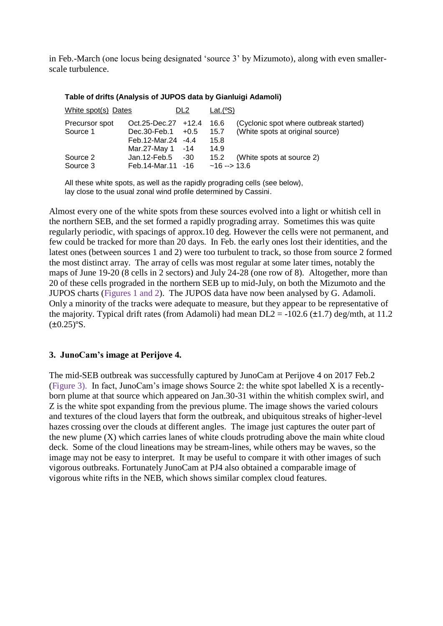in Feb.-March (one locus being designated 'source 3' by Mizumoto), along with even smallerscale turbulence.

| White spot(s) Dates |                      | DL <sub>2</sub> | Lat. $(^{\circ}S)$ |                                        |
|---------------------|----------------------|-----------------|--------------------|----------------------------------------|
| Precursor spot      | Oct.25-Dec.27 +12.4  |                 | 16.6               | (Cyclonic spot where outbreak started) |
| Source 1            | $Dec.30-Feb.1 +0.5$  |                 | 15.7               | (White spots at original source)       |
|                     | Feb.12-Mar.24 -4.4   |                 | 15.8               |                                        |
|                     | Mar. $27$ -May 1 -14 |                 | 14.9               |                                        |
| Source 2            | Jan.12- $Feb.5$      | -30             | 15.2               | (White spots at source 2)              |
| Source 3            | Feb. 14-Mar. 11 - 16 |                 | $~16 - 13.6$       |                                        |

#### **Table of drifts (Analysis of JUPOS data by Gianluigi Adamoli)**

All these white spots, as well as the rapidly prograding cells (see below), lay close to the usual zonal wind profile determined by Cassini.

Almost every one of the white spots from these sources evolved into a light or whitish cell in the northern SEB, and the set formed a rapidly prograding array. Sometimes this was quite regularly periodic, with spacings of approx.10 deg. However the cells were not permanent, and few could be tracked for more than 20 days. In Feb. the early ones lost their identities, and the latest ones (between sources 1 and 2) were too turbulent to track, so those from source 2 formed the most distinct array. The array of cells was most regular at some later times, notably the maps of June 19-20 (8 cells in 2 sectors) and July 24-28 (one row of 8). Altogether, more than 20 of these cells prograded in the northern SEB up to mid-July, on both the Mizumoto and the JUPOS charts (Figures 1 and 2). The JUPOS data have now been analysed by G. Adamoli. Only a minority of the tracks were adequate to measure, but they appear to be representative of the majority. Typical drift rates (from Adamoli) had mean  $DL2 = -102.6 \ (\pm 1.7)$  deg/mth, at 11.2  $(\pm 0.25)$ °S.

### **3. JunoCam's image at Perijove 4.**

The mid-SEB outbreak was successfully captured by JunoCam at Perijove 4 on 2017 Feb.2 (Figure 3). In fact, JunoCam's image shows Source 2: the white spot labelled X is a recentlyborn plume at that source which appeared on Jan.30-31 within the whitish complex swirl, and Z is the white spot expanding from the previous plume. The image shows the varied colours and textures of the cloud layers that form the outbreak, and ubiquitous streaks of higher-level hazes crossing over the clouds at different angles. The image just captures the outer part of the new plume (X) which carries lanes of white clouds protruding above the main white cloud deck. Some of the cloud lineations may be stream-lines, while others may be waves, so the image may not be easy to interpret. It may be useful to compare it with other images of such vigorous outbreaks. Fortunately JunoCam at PJ4 also obtained a comparable image of vigorous white rifts in the NEB, which shows similar complex cloud features.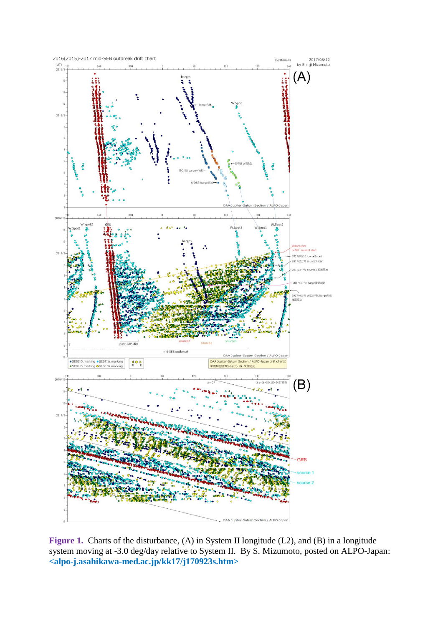

Figure 1. Charts of the disturbance, (A) in System II longitude (L2), and (B) in a longitude system moving at -3.0 deg/day relative to System II. By S. Mizumoto, posted on ALPO-Japan: **<alpo-j.asahikawa-med.ac.jp/kk17/j170923s.htm>**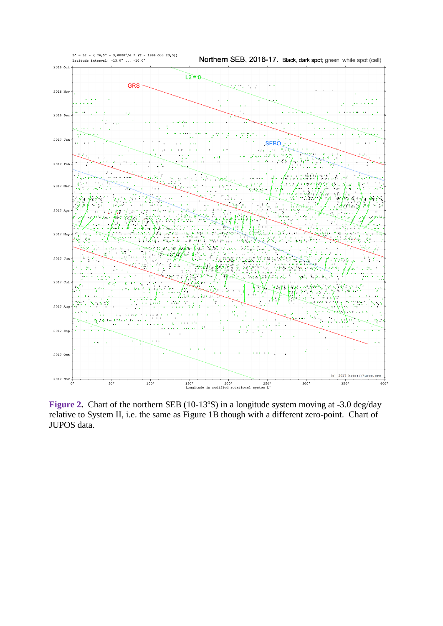

Figure 2. Chart of the northern SEB (10-13°S) in a longitude system moving at -3.0 deg/day relative to System II, i.e. the same as Figure 1B though with a different zero-point. Chart of JUPOS data.